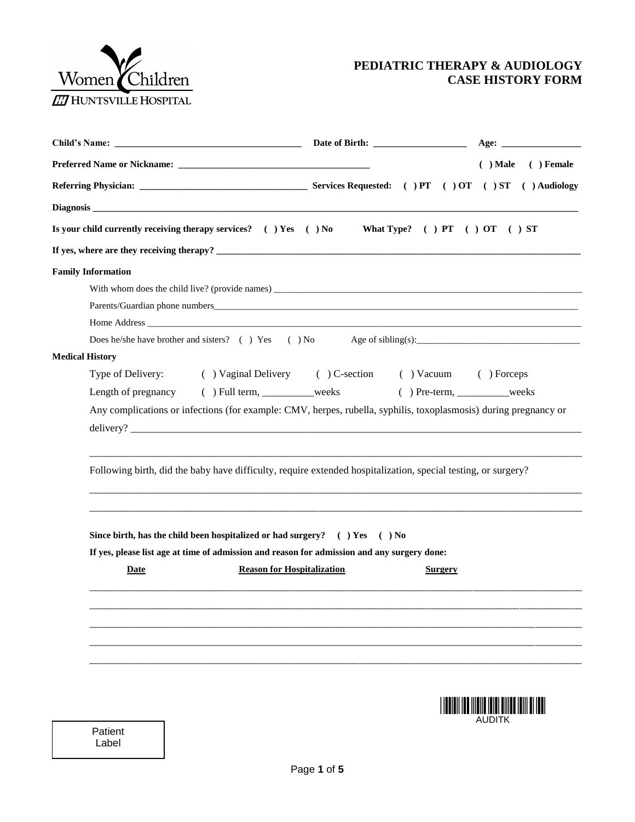

## **PEDIATRIC THERAPY & AUDIOLOGY CASE HISTORY FORM**

|                        |                           |                                                                                                                  |                | $( )$ Male $( )$ Female |
|------------------------|---------------------------|------------------------------------------------------------------------------------------------------------------|----------------|-------------------------|
|                        |                           |                                                                                                                  |                |                         |
|                        |                           |                                                                                                                  |                |                         |
|                        |                           | Is your child currently receiving therapy services? () Yes () No What Type? () PT () OT () ST                    |                |                         |
|                        |                           |                                                                                                                  |                |                         |
|                        | <b>Family Information</b> |                                                                                                                  |                |                         |
|                        |                           |                                                                                                                  |                |                         |
|                        |                           |                                                                                                                  |                |                         |
|                        |                           |                                                                                                                  |                |                         |
|                        |                           | Does he/she have brother and sisters? () Yes () No Age of sibling(s):                                            |                |                         |
| <b>Medical History</b> |                           |                                                                                                                  |                |                         |
|                        |                           | Type of Delivery: ( ) Vaginal Delivery ( ) C-section ( ) Vacuum ( ) Forceps                                      |                |                         |
|                        |                           | Length of pregnancy () Full term, _________weeks () Pre-term, ________weeks                                      |                |                         |
|                        |                           | Any complications or infections (for example: CMV, herpes, rubella, syphilis, toxoplasmosis) during pregnancy or |                |                         |
|                        |                           | delivery?                                                                                                        |                |                         |
|                        |                           | Following birth, did the baby have difficulty, require extended hospitalization, special testing, or surgery?    |                |                         |
|                        |                           | Since birth, has the child been hospitalized or had surgery? $( )$ Yes $( )$ No                                  |                |                         |
|                        |                           | If yes, please list age at time of admission and reason for admission and any surgery done:                      |                |                         |
|                        | Date                      | <b>Reason for Hospitalization</b>                                                                                | <b>Surgery</b> |                         |
|                        |                           |                                                                                                                  |                |                         |
|                        |                           |                                                                                                                  |                |                         |
|                        |                           |                                                                                                                  |                |                         |
|                        |                           |                                                                                                                  |                |                         |
|                        |                           |                                                                                                                  |                |                         |
|                        |                           |                                                                                                                  |                |                         |
|                        |                           |                                                                                                                  |                |                         |
|                        |                           |                                                                                                                  |                |                         |
|                        |                           |                                                                                                                  |                | <b>AUDITK</b>           |
|                        | Patient<br>Label          |                                                                                                                  |                |                         |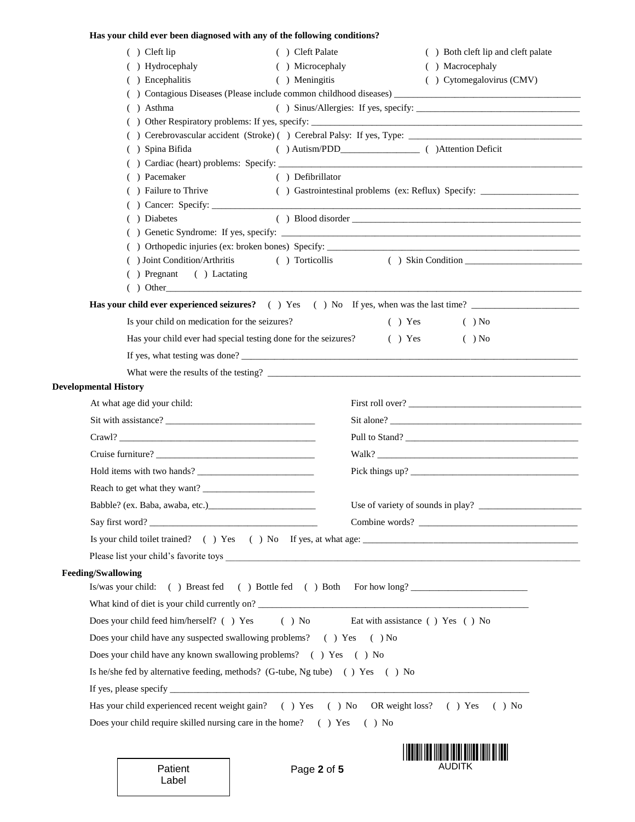## **Has your child ever been diagnosed with any of the following conditions?**

| $( )$ Cleft lip<br>( ) Cleft Palate                                                      | ( ) Both cleft lip and cleft palate                                              |  |  |
|------------------------------------------------------------------------------------------|----------------------------------------------------------------------------------|--|--|
| () Hydrocephaly<br>( ) Microcephaly                                                      | ( ) Macrocephaly                                                                 |  |  |
| ( ) Encephalitis<br>( ) Meningitis                                                       | ( ) Cytomegalovirus (CMV)                                                        |  |  |
|                                                                                          |                                                                                  |  |  |
| ( ) Asthma                                                                               |                                                                                  |  |  |
|                                                                                          |                                                                                  |  |  |
| ( ) Spina Bifida                                                                         |                                                                                  |  |  |
|                                                                                          |                                                                                  |  |  |
| ( ) Pacemaker<br>( ) Defibrillator                                                       |                                                                                  |  |  |
| ( ) Failure to Thrive                                                                    | () Gastrointestinal problems (ex: Reflux) Specify: _____________________________ |  |  |
|                                                                                          |                                                                                  |  |  |
| ( ) Diabetes                                                                             |                                                                                  |  |  |
|                                                                                          |                                                                                  |  |  |
| ( ) Joint Condition/Arthritis<br>( ) Torticollis                                         | ( ) Skin Condition                                                               |  |  |
| ( ) Pregnant ( ) Lactating                                                               |                                                                                  |  |  |
| $($ $)$ Other                                                                            |                                                                                  |  |  |
| Has your child ever experienced seizures? () Yes () No If yes, when was the last time?   |                                                                                  |  |  |
| Is your child on medication for the seizures?                                            | $( )$ Yes<br>$( )$ No                                                            |  |  |
| Has your child ever had special testing done for the seizures? (b) Yes                   | $( )$ No                                                                         |  |  |
|                                                                                          |                                                                                  |  |  |
|                                                                                          |                                                                                  |  |  |
| <b>Developmental History</b>                                                             |                                                                                  |  |  |
| At what age did your child:                                                              |                                                                                  |  |  |
|                                                                                          |                                                                                  |  |  |
|                                                                                          | Pull to Stand?                                                                   |  |  |
| Cruise furniture?                                                                        |                                                                                  |  |  |
|                                                                                          | Walk?                                                                            |  |  |
|                                                                                          |                                                                                  |  |  |
|                                                                                          |                                                                                  |  |  |
| Babble? (ex. Baba, awaba, etc.)                                                          | Use of variety of sounds in play?                                                |  |  |
|                                                                                          |                                                                                  |  |  |
|                                                                                          |                                                                                  |  |  |
|                                                                                          |                                                                                  |  |  |
| <b>Feeding/Swallowing</b>                                                                |                                                                                  |  |  |
| Is/was your child: () Breast fed () Bottle fed () Both For how long?                     |                                                                                  |  |  |
| What kind of diet is your child currently on?                                            |                                                                                  |  |  |
| Does your child feed him/herself? () Yes                                                 | () No Eat with assistance () Yes () No                                           |  |  |
| Does your child have any suspected swallowing problems? () Yes () No                     |                                                                                  |  |  |
| Does your child have any known swallowing problems? () Yes () No                         |                                                                                  |  |  |
| Is he/she fed by alternative feeding, methods? (G-tube, Ng tube) () Yes () No            |                                                                                  |  |  |
|                                                                                          |                                                                                  |  |  |
| Has your child experienced recent weight gain? () Yes () No OR weight loss? () Yes () No |                                                                                  |  |  |
| Does your child require skilled nursing care in the home? () Yes                         | $()$ No                                                                          |  |  |
|                                                                                          |                                                                                  |  |  |
|                                                                                          |                                                                                  |  |  |

AUDITK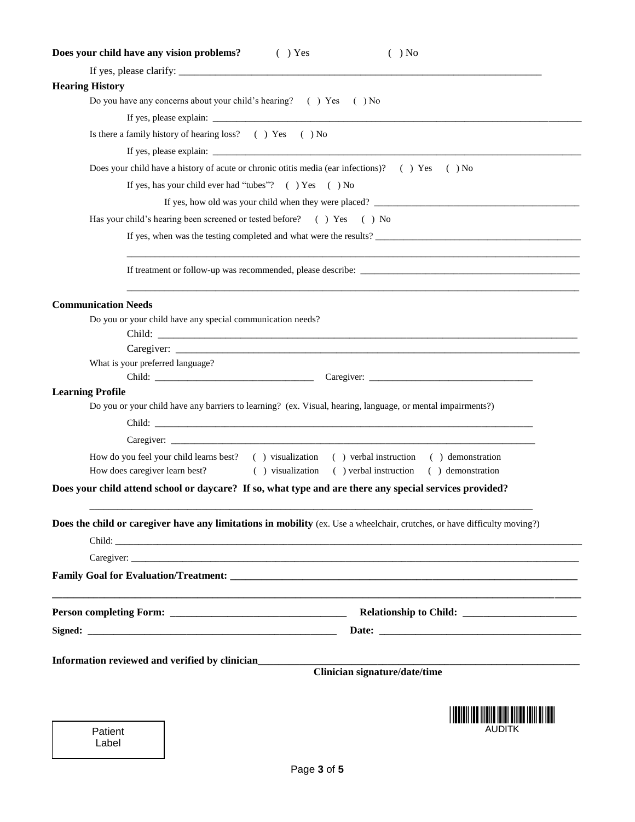| Does your child have any vision problems?<br>$( )$ Yes<br>$( )$ No                                                                                                                                                                                                                                                                                                                             |
|------------------------------------------------------------------------------------------------------------------------------------------------------------------------------------------------------------------------------------------------------------------------------------------------------------------------------------------------------------------------------------------------|
|                                                                                                                                                                                                                                                                                                                                                                                                |
| <b>Hearing History</b>                                                                                                                                                                                                                                                                                                                                                                         |
| Do you have any concerns about your child's hearing? () Yes () No                                                                                                                                                                                                                                                                                                                              |
|                                                                                                                                                                                                                                                                                                                                                                                                |
| Is there a family history of hearing loss? () Yes () No                                                                                                                                                                                                                                                                                                                                        |
| If yes, please explain: $\frac{1}{\sqrt{1-\frac{1}{2}}\sqrt{1-\frac{1}{2}}\sqrt{1-\frac{1}{2}}\sqrt{1-\frac{1}{2}}\sqrt{1-\frac{1}{2}}\sqrt{1-\frac{1}{2}}\sqrt{1-\frac{1}{2}}\sqrt{1-\frac{1}{2}}\sqrt{1-\frac{1}{2}}\sqrt{1-\frac{1}{2}}\sqrt{1-\frac{1}{2}}\sqrt{1-\frac{1}{2}}\sqrt{1-\frac{1}{2}}\sqrt{1-\frac{1}{2}}\sqrt{1-\frac{1}{2}}\sqrt{1-\frac{1}{2}}\sqrt{1-\frac{1}{2}}\sqrt{1$ |
| Does your child have a history of acute or chronic otitis media (ear infections)? () Yes () No                                                                                                                                                                                                                                                                                                 |
| If yes, has your child ever had "tubes"? () Yes () No                                                                                                                                                                                                                                                                                                                                          |
|                                                                                                                                                                                                                                                                                                                                                                                                |
| Has your child's hearing been screened or tested before? () Yes () No                                                                                                                                                                                                                                                                                                                          |
|                                                                                                                                                                                                                                                                                                                                                                                                |
|                                                                                                                                                                                                                                                                                                                                                                                                |
| <b>Communication Needs</b>                                                                                                                                                                                                                                                                                                                                                                     |
| Do you or your child have any special communication needs?                                                                                                                                                                                                                                                                                                                                     |
|                                                                                                                                                                                                                                                                                                                                                                                                |
|                                                                                                                                                                                                                                                                                                                                                                                                |
| What is your preferred language?                                                                                                                                                                                                                                                                                                                                                               |
| <b>Learning Profile</b>                                                                                                                                                                                                                                                                                                                                                                        |
| Do you or your child have any barriers to learning? (ex. Visual, hearing, language, or mental impairments?)                                                                                                                                                                                                                                                                                    |
|                                                                                                                                                                                                                                                                                                                                                                                                |
|                                                                                                                                                                                                                                                                                                                                                                                                |
| How do you feel your child learns best? () visualization () verbal instruction () demonstration                                                                                                                                                                                                                                                                                                |
| How does caregiver learn best?<br>() visualization () verbal instruction () demonstration                                                                                                                                                                                                                                                                                                      |
| Does your child attend school or daycare? If so, what type and are there any special services provided?                                                                                                                                                                                                                                                                                        |
| <b>Does the child or caregiver have any limitations in mobility</b> (ex. Use a wheelchair, crutches, or have difficulty moving?)                                                                                                                                                                                                                                                               |
|                                                                                                                                                                                                                                                                                                                                                                                                |
| Caregiver:                                                                                                                                                                                                                                                                                                                                                                                     |
|                                                                                                                                                                                                                                                                                                                                                                                                |
|                                                                                                                                                                                                                                                                                                                                                                                                |
| Date: the contract of the contract of the contract of the contract of the contract of the contract of the contract of the contract of the contract of the contract of the contract of the contract of the contract of the cont                                                                                                                                                                 |
|                                                                                                                                                                                                                                                                                                                                                                                                |
| Information reviewed and verified by clinician_________<br>Clinician signature/date/time                                                                                                                                                                                                                                                                                                       |
|                                                                                                                                                                                                                                                                                                                                                                                                |
|                                                                                                                                                                                                                                                                                                                                                                                                |
| AUDITK<br>Patient                                                                                                                                                                                                                                                                                                                                                                              |
| Label                                                                                                                                                                                                                                                                                                                                                                                          |
|                                                                                                                                                                                                                                                                                                                                                                                                |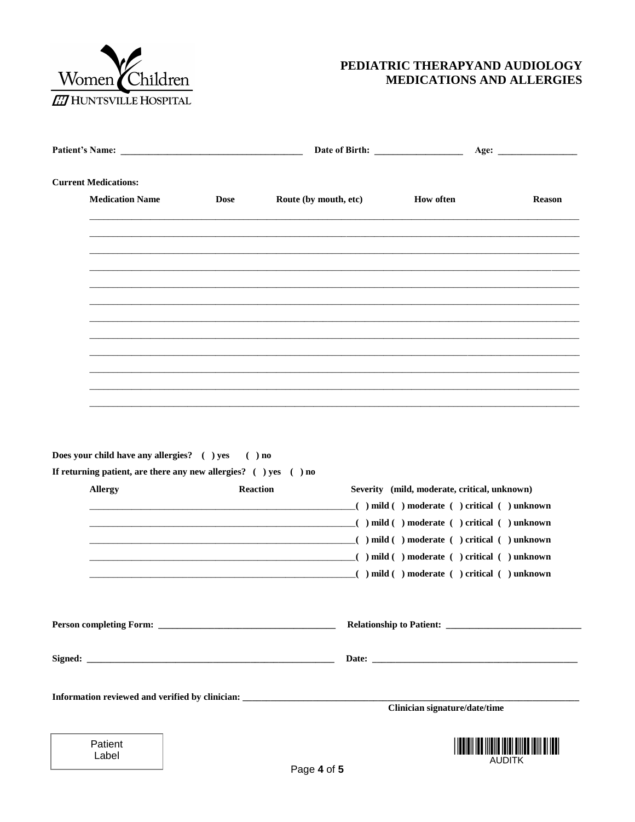

## PEDIATRIC THERAPYAND AUDIOLOGY MEDICATIONS AND ALLERGIES

|                                                                                                                             |                 |                                                                                   | Date of Birth: New York 1988                 | Age:          |  |
|-----------------------------------------------------------------------------------------------------------------------------|-----------------|-----------------------------------------------------------------------------------|----------------------------------------------|---------------|--|
| <b>Current Medications:</b>                                                                                                 |                 |                                                                                   |                                              |               |  |
| <b>Medication Name</b>                                                                                                      | <b>Dose</b>     | Route (by mouth, etc)                                                             | <b>How often</b>                             | <b>Reason</b> |  |
|                                                                                                                             |                 |                                                                                   |                                              |               |  |
|                                                                                                                             |                 |                                                                                   |                                              |               |  |
|                                                                                                                             |                 |                                                                                   |                                              |               |  |
|                                                                                                                             |                 |                                                                                   |                                              |               |  |
|                                                                                                                             |                 |                                                                                   |                                              |               |  |
|                                                                                                                             |                 |                                                                                   |                                              |               |  |
|                                                                                                                             |                 |                                                                                   |                                              |               |  |
|                                                                                                                             |                 |                                                                                   |                                              |               |  |
| <b>Allergy</b>                                                                                                              | <b>Reaction</b> |                                                                                   | Severity (mild, moderate, critical, unknown) |               |  |
|                                                                                                                             |                 | ( ) mild ( ) moderate ( ) critical ( ) unknown                                    |                                              |               |  |
|                                                                                                                             |                 |                                                                                   |                                              |               |  |
|                                                                                                                             |                 |                                                                                   |                                              |               |  |
|                                                                                                                             |                 | ( ) mild ( ) moderate ( ) critical ( ) unknown                                    |                                              |               |  |
|                                                                                                                             |                 |                                                                                   |                                              |               |  |
|                                                                                                                             |                 |                                                                                   |                                              |               |  |
| Does your child have any allergies? ( ) yes ( ) no<br>If returning patient, are there any new allergies? $( )$ yes $( )$ no |                 | Information reviewed and verified by clinician: _________________________________ |                                              |               |  |
|                                                                                                                             |                 |                                                                                   | Clinician signature/date/time                |               |  |
| Patient<br>Label                                                                                                            |                 |                                                                                   |                                              |               |  |